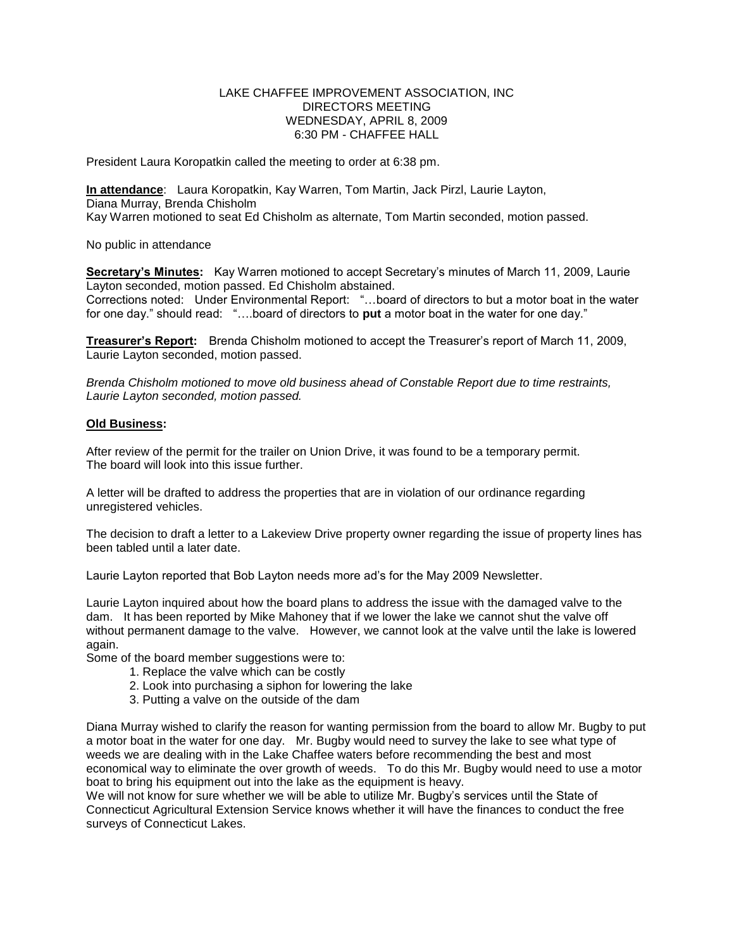## LAKE CHAFFEE IMPROVEMENT ASSOCIATION, INC DIRECTORS MEETING WEDNESDAY, APRIL 8, 2009 6:30 PM - CHAFFEE HALL

President Laura Koropatkin called the meeting to order at 6:38 pm.

**In attendance**: Laura Koropatkin, Kay Warren, Tom Martin, Jack Pirzl, Laurie Layton, Diana Murray, Brenda Chisholm Kay Warren motioned to seat Ed Chisholm as alternate, Tom Martin seconded, motion passed.

No public in attendance

**Secretary's Minutes:** Kay Warren motioned to accept Secretary's minutes of March 11, 2009, Laurie Layton seconded, motion passed. Ed Chisholm abstained.

Corrections noted: Under Environmental Report: "…board of directors to but a motor boat in the water for one day." should read: "….board of directors to **put** a motor boat in the water for one day."

**Treasurer's Report:** Brenda Chisholm motioned to accept the Treasurer's report of March 11, 2009, Laurie Layton seconded, motion passed.

*Brenda Chisholm motioned to move old business ahead of Constable Report due to time restraints, Laurie Layton seconded, motion passed.*

## **Old Business:**

After review of the permit for the trailer on Union Drive, it was found to be a temporary permit. The board will look into this issue further.

A letter will be drafted to address the properties that are in violation of our ordinance regarding unregistered vehicles.

The decision to draft a letter to a Lakeview Drive property owner regarding the issue of property lines has been tabled until a later date.

Laurie Layton reported that Bob Layton needs more ad's for the May 2009 Newsletter.

Laurie Layton inquired about how the board plans to address the issue with the damaged valve to the dam. It has been reported by Mike Mahoney that if we lower the lake we cannot shut the valve off without permanent damage to the valve. However, we cannot look at the valve until the lake is lowered again.

Some of the board member suggestions were to:

- 1. Replace the valve which can be costly
- 2. Look into purchasing a siphon for lowering the lake
- 3. Putting a valve on the outside of the dam

Diana Murray wished to clarify the reason for wanting permission from the board to allow Mr. Bugby to put a motor boat in the water for one day. Mr. Bugby would need to survey the lake to see what type of weeds we are dealing with in the Lake Chaffee waters before recommending the best and most economical way to eliminate the over growth of weeds. To do this Mr. Bugby would need to use a motor boat to bring his equipment out into the lake as the equipment is heavy.

We will not know for sure whether we will be able to utilize Mr. Bugby's services until the State of Connecticut Agricultural Extension Service knows whether it will have the finances to conduct the free surveys of Connecticut Lakes.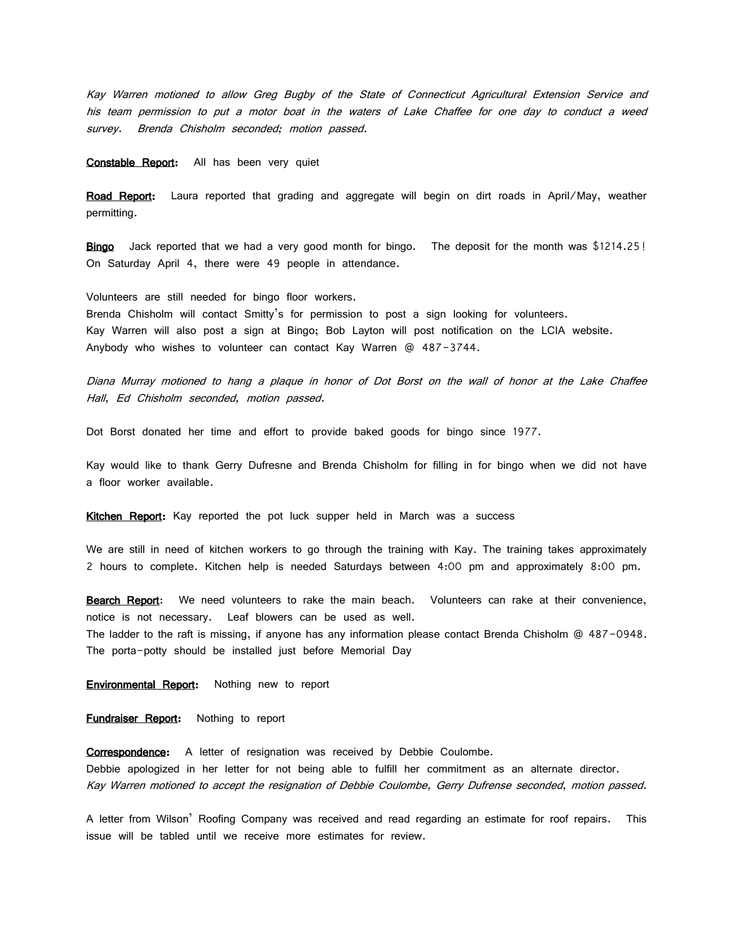Kay Warren motioned to allow Greg Bugby of the State of Connecticut Agricultural Extension Service and his team permission to put a motor boat in the waters of Lake Chaffee for one day to conduct a weed survey. Brenda Chisholm seconded; motion passed.

Constable Report: All has been very quiet

Road Report: Laura reported that grading and aggregate will begin on dirt roads in April/May, weather permitting.

Bingo Jack reported that we had a very good month for bingo. The deposit for the month was \$1214.25! On Saturday April 4, there were 49 people in attendance.

Volunteers are still needed for bingo floor workers. Brenda Chisholm will contact Smitty's for permission to post a sign looking for volunteers. Kay Warren will also post a sign at Bingo; Bob Layton will post notification on the LCIA website. Anybody who wishes to volunteer can contact Kay Warren @ 487-3744.

Diana Murray motioned to hang a plaque in honor of Dot Borst on the wall of honor at the Lake Chaffee Hall, Ed Chisholm seconded, motion passed.

Dot Borst donated her time and effort to provide baked goods for bingo since 1977.

Kay would like to thank Gerry Dufresne and Brenda Chisholm for filling in for bingo when we did not have a floor worker available.

Kitchen Report: Kay reported the pot luck supper held in March was a success

We are still in need of kitchen workers to go through the training with Kay. The training takes approximately 2 hours to complete. Kitchen help is needed Saturdays between 4:00 pm and approximately 8:00 pm.

Bearch Report: We need volunteers to rake the main beach. Volunteers can rake at their convenience, notice is not necessary. Leaf blowers can be used as well. The ladder to the raft is missing, if anyone has any information please contact Brenda Chisholm @ 487-0948. The porta-potty should be installed just before Memorial Day

**Environmental Report:** Nothing new to report

**Fundraiser Report:** Nothing to report

Correspondence: A letter of resignation was received by Debbie Coulombe. Debbie apologized in her letter for not being able to fulfill her commitment as an alternate director. Kay Warren motioned to accept the resignation of Debbie Coulombe, Gerry Dufrense seconded, motion passed.

A letter from Wilson' Roofing Company was received and read regarding an estimate for roof repairs. This issue will be tabled until we receive more estimates for review.